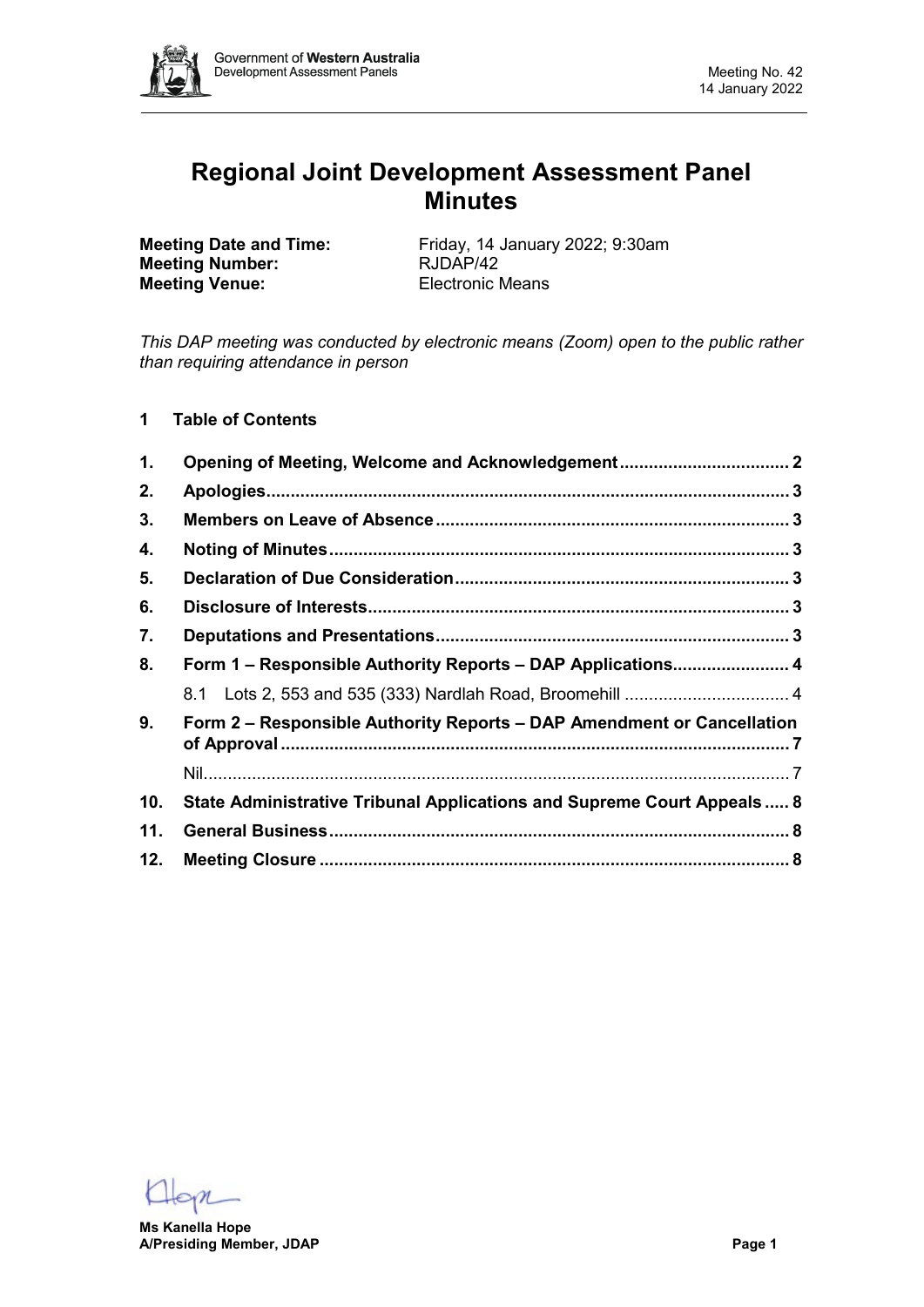

# **Regional Joint Development Assessment Panel Minutes**

**Meeting Number: Meeting Venue:** Electronic Means

**Meeting Date and Time:** Friday, 14 January 2022; 9:30am<br> **Meeting Number:** RJDAP/42

*This DAP meeting was conducted by electronic means (Zoom) open to the public rather than requiring attendance in person*

**1 Table of Contents**

| $\mathbf 1$ .  | Opening of Meeting, Welcome and Acknowledgement 2                       |  |  |  |  |
|----------------|-------------------------------------------------------------------------|--|--|--|--|
| 2.             |                                                                         |  |  |  |  |
| 3.             |                                                                         |  |  |  |  |
| 4.             |                                                                         |  |  |  |  |
| 5.             |                                                                         |  |  |  |  |
| 6.             |                                                                         |  |  |  |  |
| 7.             |                                                                         |  |  |  |  |
| 8.             | Form 1 - Responsible Authority Reports - DAP Applications 4             |  |  |  |  |
|                |                                                                         |  |  |  |  |
| 9 <sub>1</sub> | Form 2 - Responsible Authority Reports - DAP Amendment or Cancellation  |  |  |  |  |
|                |                                                                         |  |  |  |  |
| 10.            | State Administrative Tribunal Applications and Supreme Court Appeals  8 |  |  |  |  |
| 11.            |                                                                         |  |  |  |  |
| 12.            |                                                                         |  |  |  |  |

**Ms Kanella Hope A/Presiding Member, JDAP Page 1**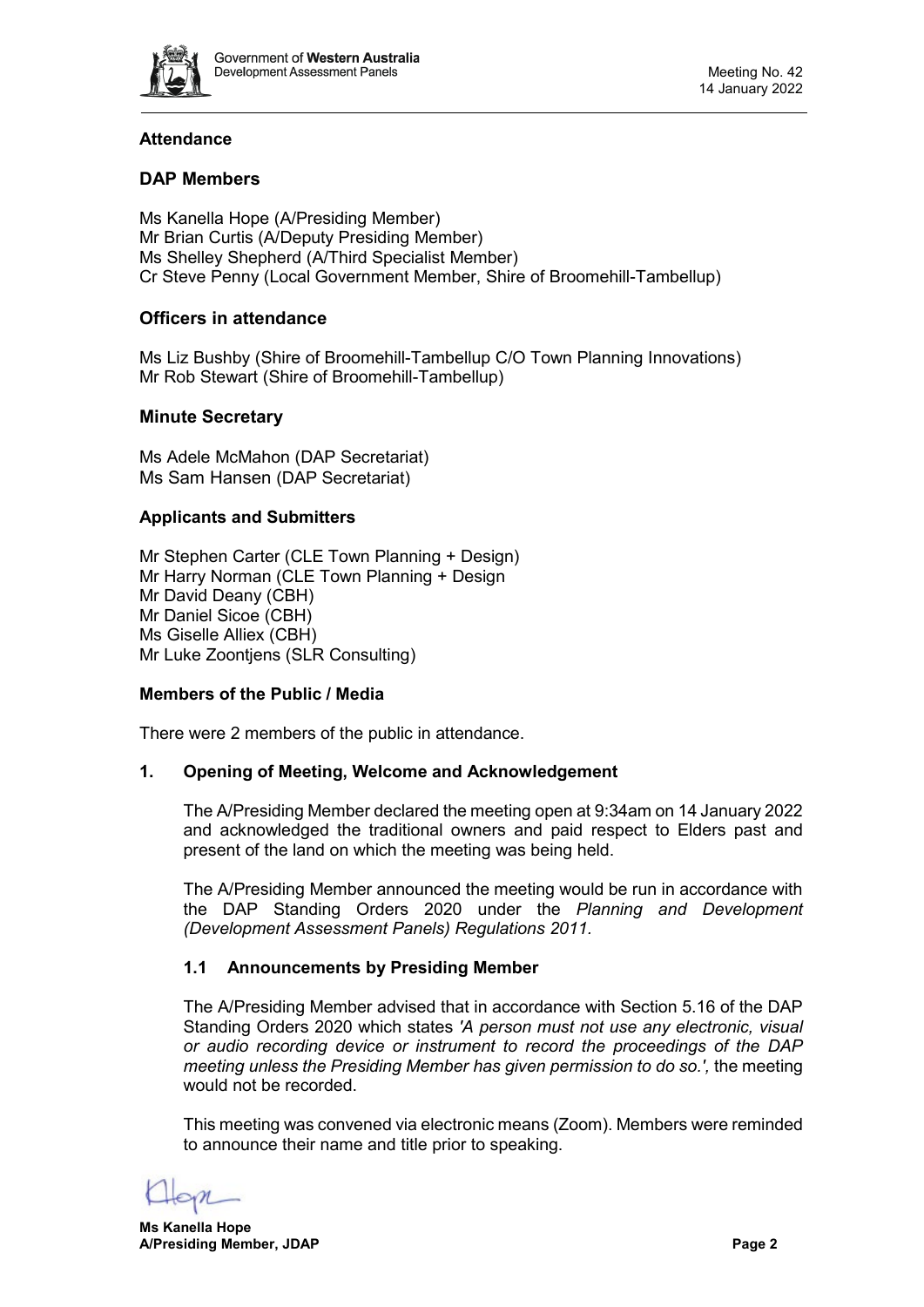

# **Attendance**

# **DAP Members**

Ms Kanella Hope (A/Presiding Member) Mr Brian Curtis (A/Deputy Presiding Member) Ms Shelley Shepherd (A/Third Specialist Member) Cr Steve Penny (Local Government Member, Shire of Broomehill-Tambellup)

# **Officers in attendance**

Ms Liz Bushby (Shire of Broomehill-Tambellup C/O Town Planning Innovations) Mr Rob Stewart (Shire of Broomehill-Tambellup)

# **Minute Secretary**

Ms Adele McMahon (DAP Secretariat) Ms Sam Hansen (DAP Secretariat)

# **Applicants and Submitters**

Mr Stephen Carter (CLE Town Planning + Design) Mr Harry Norman (CLE Town Planning + Design Mr David Deany (CBH) Mr Daniel Sicoe (CBH) Ms Giselle Alliex (CBH) Mr Luke Zoontjens (SLR Consulting)

#### **Members of the Public / Media**

<span id="page-1-0"></span>There were 2 members of the public in attendance.

#### **1. Opening of Meeting, Welcome and Acknowledgement**

The A/Presiding Member declared the meeting open at 9:34am on 14 January 2022 and acknowledged the traditional owners and paid respect to Elders past and present of the land on which the meeting was being held.

The A/Presiding Member announced the meeting would be run in accordance with the DAP Standing Orders 2020 under the *Planning and Development (Development Assessment Panels) Regulations 2011.*

# **1.1 Announcements by Presiding Member**

The A/Presiding Member advised that in accordance with Section 5.16 of the DAP Standing Orders 2020 which states *'A person must not use any electronic, visual or audio recording device or instrument to record the proceedings of the DAP meeting unless the Presiding Member has given permission to do so.',* the meeting would not be recorded.

This meeting was convened via electronic means (Zoom). Members were reminded to announce their name and title prior to speaking.

**Ms Kanella Hope A/Presiding Member, JDAP Page 2**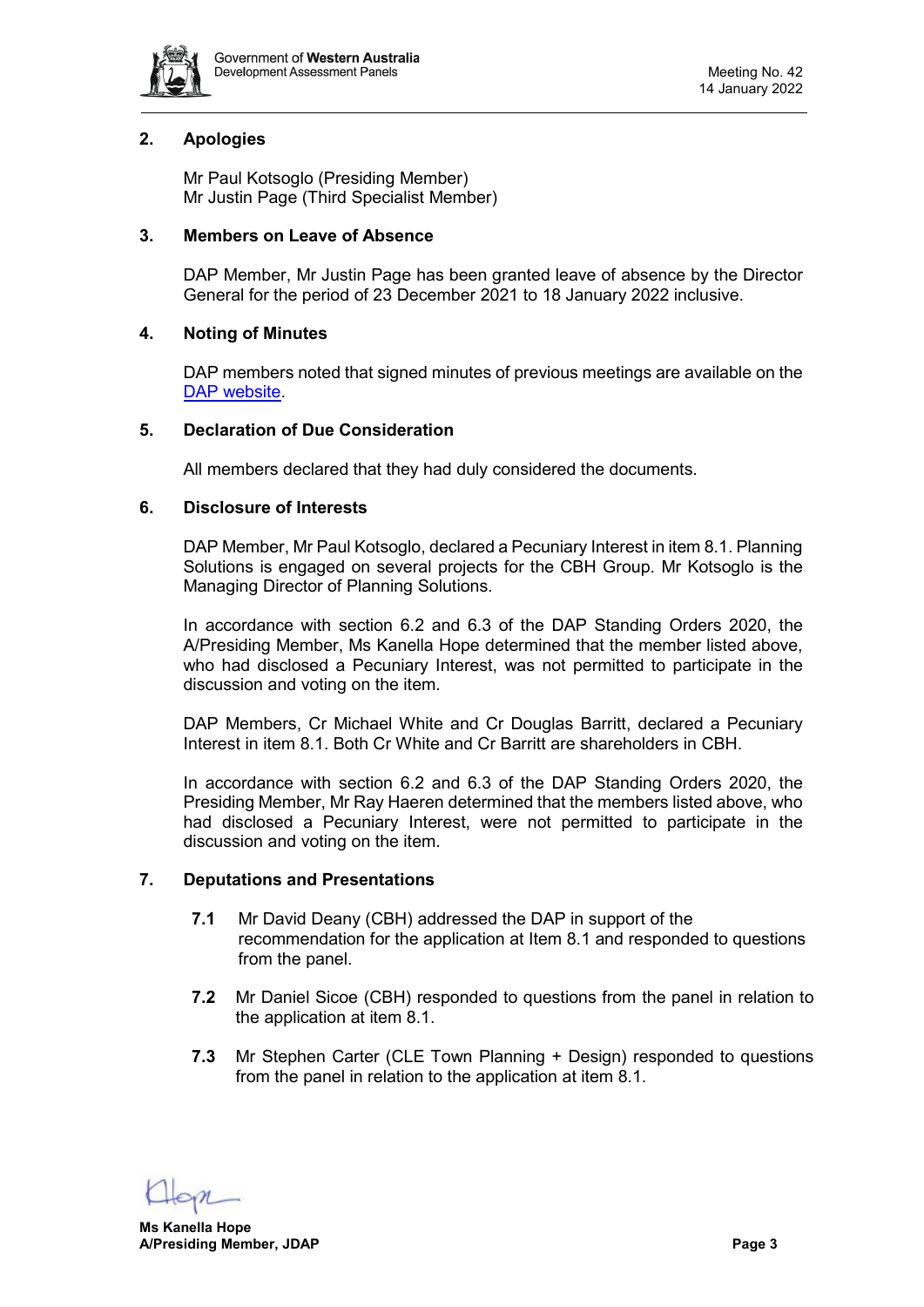

# <span id="page-2-0"></span>**2. Apologies**

Mr Paul Kotsoglo (Presiding Member) Mr Justin Page (Third Specialist Member)

#### <span id="page-2-1"></span>**3. Members on Leave of Absence**

DAP Member, Mr Justin Page has been granted leave of absence by the Director General for the period of 23 December 2021 to 18 January 2022 inclusive.

# <span id="page-2-2"></span>**4. Noting of Minutes**

DAP members noted that signed minutes of previous meetings are available on the [DAP website.](https://www.dplh.wa.gov.au/about/development-assessment-panels/daps-agendas-and-minutes)

# <span id="page-2-3"></span>**5. Declaration of Due Consideration**

All members declared that they had duly considered the documents.

# <span id="page-2-4"></span>**6. Disclosure of Interests**

DAP Member, Mr Paul Kotsoglo, declared a Pecuniary Interest in item 8.1. Planning Solutions is engaged on several projects for the CBH Group. Mr Kotsoglo is the Managing Director of Planning Solutions.

In accordance with section 6.2 and 6.3 of the DAP Standing Orders 2020, the A/Presiding Member, Ms Kanella Hope determined that the member listed above, who had disclosed a Pecuniary Interest, was not permitted to participate in the discussion and voting on the item.

DAP Members, Cr Michael White and Cr Douglas Barritt, declared a Pecuniary Interest in item 8.1. Both Cr White and Cr Barritt are shareholders in CBH.

In accordance with section 6.2 and 6.3 of the DAP Standing Orders 2020, the Presiding Member, Mr Ray Haeren determined that the members listed above, who had disclosed a Pecuniary Interest, were not permitted to participate in the discussion and voting on the item.

# <span id="page-2-5"></span>**7. Deputations and Presentations**

- **7.1** Mr David Deany (CBH) addressed the DAP in support of the recommendation for the application at Item 8.1 and responded to questions from the panel.
- **7.2** Mr Daniel Sicoe (CBH) responded to questions from the panel in relation to the application at item 8.1.
- **7.3** Mr Stephen Carter (CLE Town Planning + Design) responded to questions from the panel in relation to the application at item 8.1.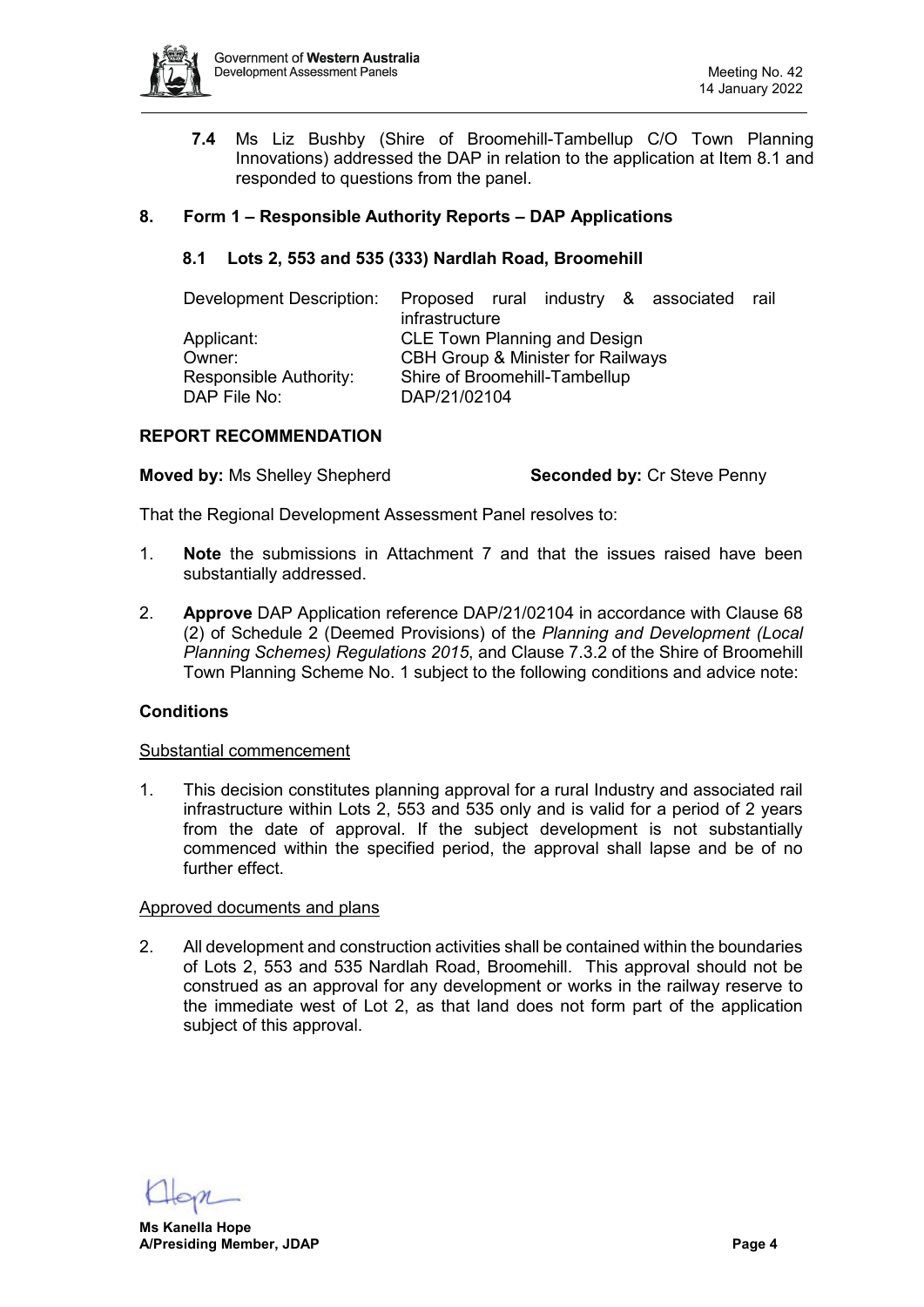

<span id="page-3-0"></span>**7.4** Ms Liz Bushby (Shire of Broomehill-Tambellup C/O Town Planning Innovations) addressed the DAP in relation to the application at Item 8.1 and responded to questions from the panel.

# <span id="page-3-1"></span>**8. Form 1 – Responsible Authority Reports – DAP Applications**

# **8.1 Lots 2, 553 and 535 (333) Nardlah Road, Broomehill**

| Development Description: | infrastructure                               |  |  |  | Proposed rural industry & associated | rail |
|--------------------------|----------------------------------------------|--|--|--|--------------------------------------|------|
| Applicant:               | <b>CLE Town Planning and Design</b>          |  |  |  |                                      |      |
| Owner:                   | <b>CBH Group &amp; Minister for Railways</b> |  |  |  |                                      |      |
| Responsible Authority:   | Shire of Broomehill-Tambellup                |  |  |  |                                      |      |
| DAP File No:             | DAP/21/02104                                 |  |  |  |                                      |      |

# **REPORT RECOMMENDATION**

**Moved by:** Ms Shelley Shepherd **Seconded by:** Cr Steve Penny

That the Regional Development Assessment Panel resolves to:

- 1. **Note** the submissions in Attachment 7 and that the issues raised have been substantially addressed.
- 2. **Approve** DAP Application reference DAP/21/02104 in accordance with Clause 68 (2) of Schedule 2 (Deemed Provisions) of the *Planning and Development (Local Planning Schemes) Regulations 2015*, and Clause 7.3.2 of the Shire of Broomehill Town Planning Scheme No. 1 subject to the following conditions and advice note:

#### **Conditions**

#### Substantial commencement

1. This decision constitutes planning approval for a rural Industry and associated rail infrastructure within Lots 2, 553 and 535 only and is valid for a period of 2 years from the date of approval. If the subject development is not substantially commenced within the specified period, the approval shall lapse and be of no further effect.

#### Approved documents and plans

2. All development and construction activities shall be contained within the boundaries of Lots 2, 553 and 535 Nardlah Road, Broomehill. This approval should not be construed as an approval for any development or works in the railway reserve to the immediate west of Lot 2, as that land does not form part of the application subject of this approval.

**Ms Kanella Hope A/Presiding Member, JDAP Page 4**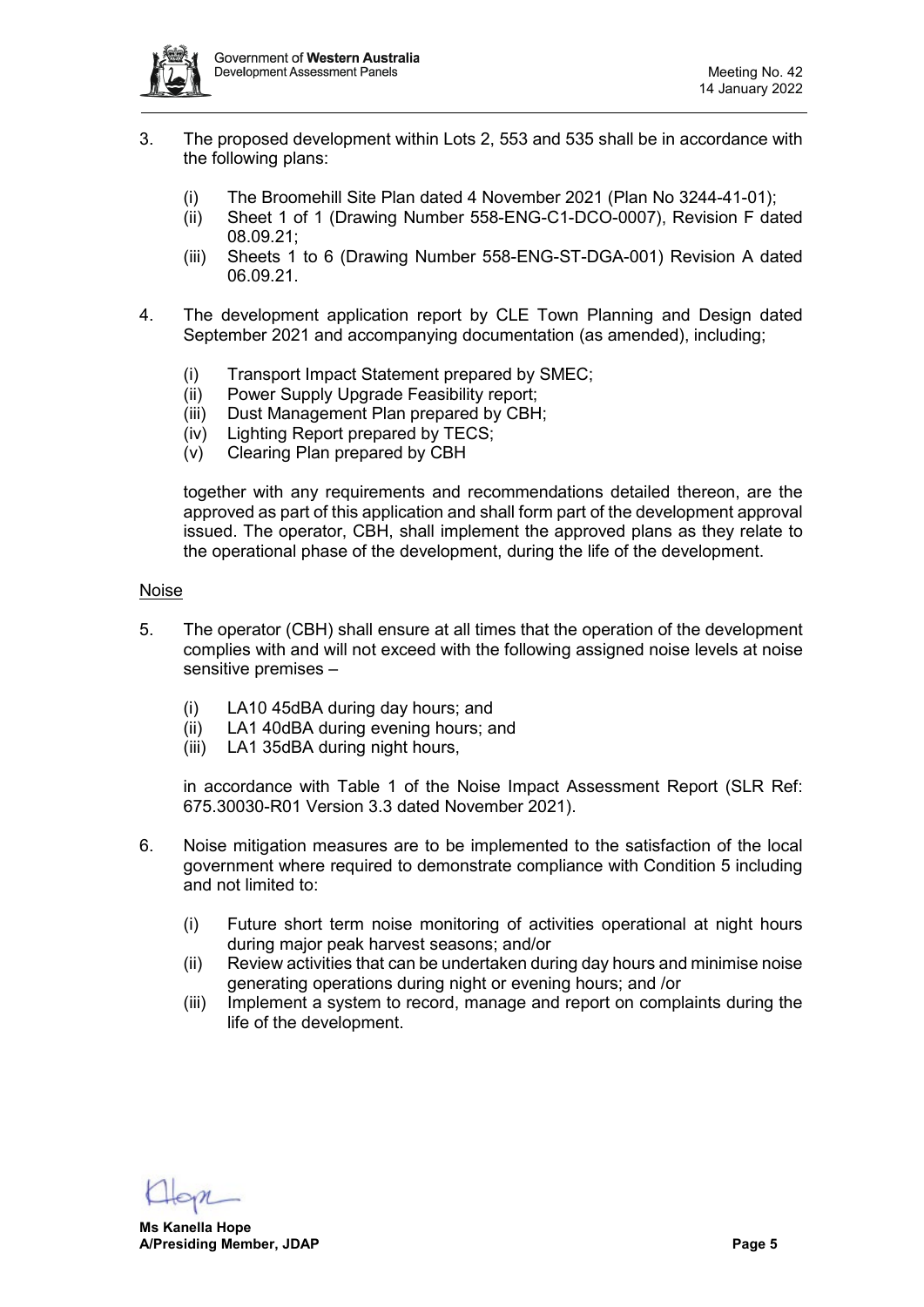

- 3. The proposed development within Lots 2, 553 and 535 shall be in accordance with the following plans:
	- (i) The Broomehill Site Plan dated 4 November 2021 (Plan No 3244-41-01);
	- (ii) Sheet 1 of 1 (Drawing Number 558-ENG-C1-DCO-0007), Revision F dated 08.09.21;
	- (iii) Sheets 1 to 6 (Drawing Number 558-ENG-ST-DGA-001) Revision A dated 06.09.21.
- 4. The development application report by CLE Town Planning and Design dated September 2021 and accompanying documentation (as amended), including;
	- (i) Transport Impact Statement prepared by SMEC;
	- (ii) Power Supply Upgrade Feasibility report;
	- (iii) Dust Management Plan prepared by CBH;
	- (iv) Lighting Report prepared by TECS;
	- (v) Clearing Plan prepared by CBH

together with any requirements and recommendations detailed thereon, are the approved as part of this application and shall form part of the development approval issued. The operator, CBH, shall implement the approved plans as they relate to the operational phase of the development, during the life of the development.

#### Noise

- 5. The operator (CBH) shall ensure at all times that the operation of the development complies with and will not exceed with the following assigned noise levels at noise sensitive premises –
	- (i) LA10 45dBA during day hours; and
	- (ii) LA1 40dBA during evening hours; and
	- (iii) LA1 35dBA during night hours,

in accordance with Table 1 of the Noise Impact Assessment Report (SLR Ref: 675.30030-R01 Version 3.3 dated November 2021).

- 6. Noise mitigation measures are to be implemented to the satisfaction of the local government where required to demonstrate compliance with Condition 5 including and not limited to:
	- (i) Future short term noise monitoring of activities operational at night hours during major peak harvest seasons; and/or
	- (ii) Review activities that can be undertaken during day hours and minimise noise generating operations during night or evening hours; and /or
	- (iii) Implement a system to record, manage and report on complaints during the life of the development.

**Ms Kanella Hope A/Presiding Member, JDAP Page 5**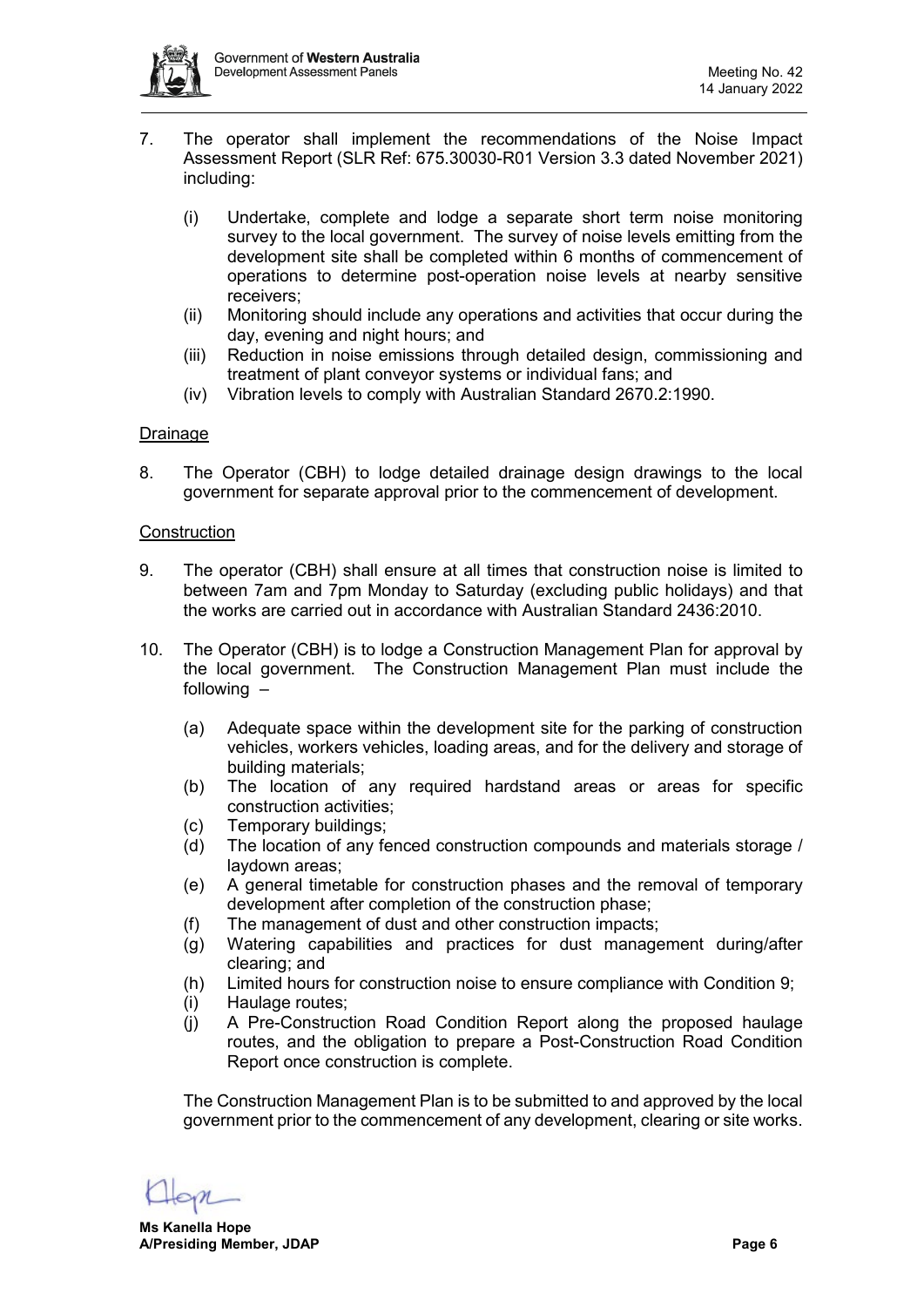

- 7. The operator shall implement the recommendations of the Noise Impact Assessment Report (SLR Ref: 675.30030-R01 Version 3.3 dated November 2021) including:
	- (i) Undertake, complete and lodge a separate short term noise monitoring survey to the local government. The survey of noise levels emitting from the development site shall be completed within 6 months of commencement of operations to determine post-operation noise levels at nearby sensitive receivers;
	- (ii) Monitoring should include any operations and activities that occur during the day, evening and night hours; and
	- (iii) Reduction in noise emissions through detailed design, commissioning and treatment of plant conveyor systems or individual fans; and
	- (iv) Vibration levels to comply with Australian Standard 2670.2:1990.

# Drainage

8. The Operator (CBH) to lodge detailed drainage design drawings to the local government for separate approval prior to the commencement of development.

# **Construction**

- 9. The operator (CBH) shall ensure at all times that construction noise is limited to between 7am and 7pm Monday to Saturday (excluding public holidays) and that the works are carried out in accordance with Australian Standard 2436:2010.
- 10. The Operator (CBH) is to lodge a Construction Management Plan for approval by the local government. The Construction Management Plan must include the following –
	- (a) Adequate space within the development site for the parking of construction vehicles, workers vehicles, loading areas, and for the delivery and storage of building materials;
	- (b) The location of any required hardstand areas or areas for specific construction activities;
	- (c) Temporary buildings;
	- (d) The location of any fenced construction compounds and materials storage / laydown areas;
	- (e) A general timetable for construction phases and the removal of temporary development after completion of the construction phase;
	- (f) The management of dust and other construction impacts;
	- (g) Watering capabilities and practices for dust management during/after clearing; and
	- (h) Limited hours for construction noise to ensure compliance with Condition 9;
	- (i) Haulage routes;
	- (j) A Pre-Construction Road Condition Report along the proposed haulage routes, and the obligation to prepare a Post-Construction Road Condition Report once construction is complete.

The Construction Management Plan is to be submitted to and approved by the local government prior to the commencement of any development, clearing or site works.

**Ms Kanella Hope A/Presiding Member, JDAP Page 6**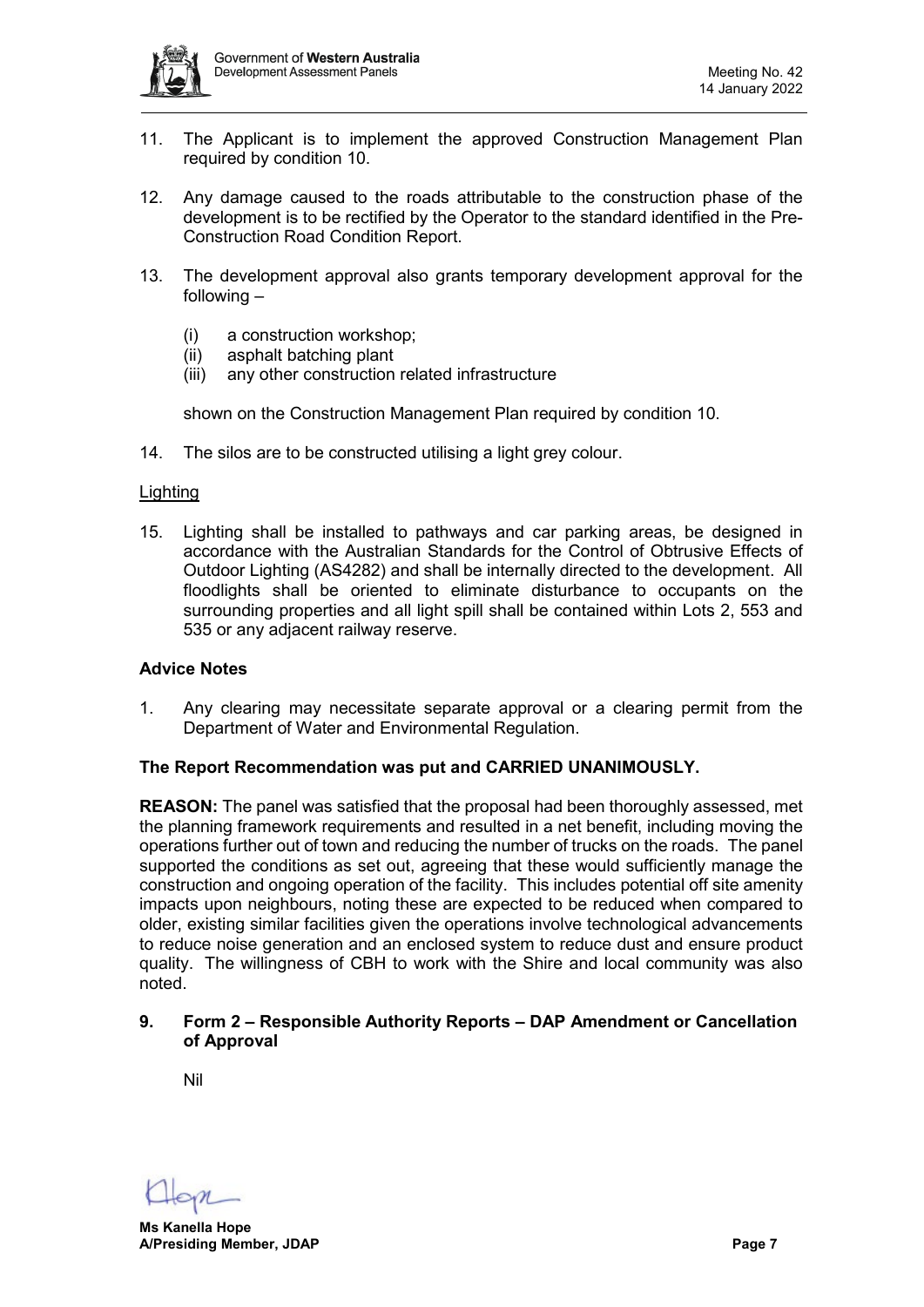

- 11. The Applicant is to implement the approved Construction Management Plan required by condition 10.
- 12. Any damage caused to the roads attributable to the construction phase of the development is to be rectified by the Operator to the standard identified in the Pre-Construction Road Condition Report.
- 13. The development approval also grants temporary development approval for the following –
	- (i) a construction workshop;
	- (ii) asphalt batching plant
	- (iii) any other construction related infrastructure

shown on the Construction Management Plan required by condition 10.

14. The silos are to be constructed utilising a light grey colour.

#### **Lighting**

15. Lighting shall be installed to pathways and car parking areas, be designed in accordance with the Australian Standards for the Control of Obtrusive Effects of Outdoor Lighting (AS4282) and shall be internally directed to the development. All floodlights shall be oriented to eliminate disturbance to occupants on the surrounding properties and all light spill shall be contained within Lots 2, 553 and 535 or any adjacent railway reserve.

#### <span id="page-6-0"></span>**Advice Notes**

1. Any clearing may necessitate separate approval or a clearing permit from the Department of Water and Environmental Regulation.

#### <span id="page-6-2"></span><span id="page-6-1"></span>**The Report Recommendation was put and CARRIED UNANIMOUSLY.**

**REASON:** The panel was satisfied that the proposal had been thoroughly assessed, met the planning framework requirements and resulted in a net benefit, including moving the operations further out of town and reducing the number of trucks on the roads. The panel supported the conditions as set out, agreeing that these would sufficiently manage the construction and ongoing operation of the facility. This includes potential off site amenity impacts upon neighbours, noting these are expected to be reduced when compared to older, existing similar facilities given the operations involve technological advancements to reduce noise generation and an enclosed system to reduce dust and ensure product quality. The willingness of CBH to work with the Shire and local community was also noted.

# **9. Form 2 – Responsible Authority Reports – DAP Amendment or Cancellation of Approval**

Nil

**Ms Kanella Hope A/Presiding Member, JDAP Page 7**